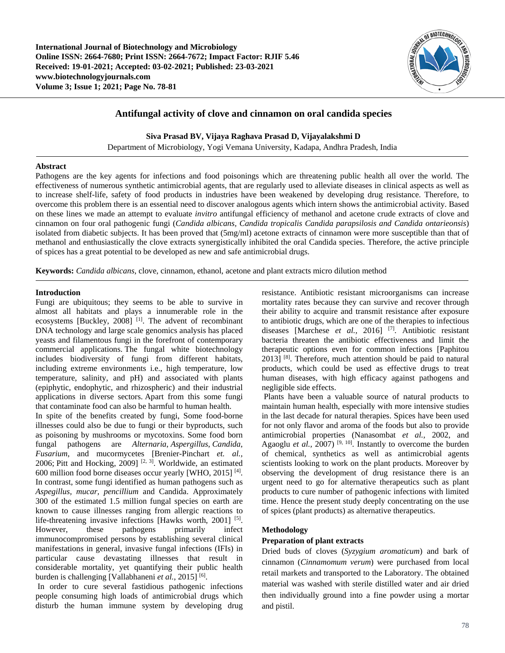

# **Antifungal activity of clove and cinnamon on oral candida species**

**Siva Prasad BV, Vijaya Raghava Prasad D, Vijayalakshmi D**

Department of Microbiology, Yogi Vemana University, Kadapa, Andhra Pradesh, India

# **Abstract**

Pathogens are the key agents for infections and food poisonings which are threatening public health all over the world. The effectiveness of numerous synthetic antimicrobial agents, that are regularly used to alleviate diseases in clinical aspects as well as to increase shelf-life, safety of food products in industries have been weakened by developing drug resistance. Therefore, to overcome this problem there is an essential need to discover analogous agents which intern shows the antimicrobial activity. Based on these lines we made an attempt to evaluate *invitro* antifungal efficiency of methanol and acetone crude extracts of clove and cinnamon on four oral pathogenic fungi (*Candida albicans, Candida tropicalis Candida parapsilosis and Candida ontarieonsis*) isolated from diabetic subjects. It has been proved that (5mg/ml) acetone extracts of cinnamon were more susceptible than that of methanol and enthusiastically the clove extracts synergistically inhibited the oral Candida species. Therefore, the active principle of spices has a great potential to be developed as new and safe antimicrobial drugs.

**Keywords:** *Candida albicans*, clove, cinnamon, ethanol, acetone and plant extracts micro dilution method

# **Introduction**

Fungi are ubiquitous; they seems to be able to survive in almost all habitats and plays a innumerable role in the ecosystems [Buckley, 2008]<sup>[1]</sup>. The advent of recombinant DNA technology and large scale genomics analysis has placed yeasts and filamentous fungi in the forefront of contemporary commercial applications. The fungal white biotechnology includes biodiversity of fungi from different habitats, including extreme environments i.e., high temperature, low temperature, salinity, and pH) and associated with plants (epiphytic, endophytic, and rhizospheric) and their industrial applications in diverse sectors. Apart from this some fungi that contaminate food can also be harmful to human health.

In spite of the benefits created by fungi, Some food-borne illnesses could also be due to fungi or their byproducts, such as poisoning by mushrooms or mycotoxins. Some food born fungal pathogens are *Alternaria*, *Aspergillus*, *Candida*, *Fusarium*, and mucormycetes [Brenier-Pinchart *et. al.,* 2006; Pitt and Hocking, 2009]<sup>[2, 3]</sup>. Worldwide, an estimated 600 million food borne diseases occur yearly [WHO, 2015] [4]. In contrast, some fungi identified as human pathogens such as *Aspegillus, mucar, pencillium* and Candida. Approximately 300 of the estimated 1.5 million fungal species on earth are known to cause illnesses ranging from allergic reactions to life-threatening invasive infections [Hawks worth, 2001]  $[5]$ . However, these pathogens primarily infect immunocompromised persons by establishing several clinical manifestations in general, invasive fungal infections (IFIs) in particular cause devastating illnesses that result in considerable mortality, yet quantifying their public health burden is challenging [Vallabhaneni *et al.*, 2015] [6].

In order to cure several fastidious pathogenic infections people consuming high loads of antimicrobial drugs which disturb the human immune system by developing drug

resistance. Antibiotic resistant microorganisms can increase mortality rates because they can survive and recover through their ability to acquire and transmit resistance after exposure to antibiotic drugs, which are one of the therapies to infectious diseases [Marchese *et al.,* 2016] [7]. Antibiotic resistant bacteria threaten the antibiotic effectiveness and limit the therapeutic options even for common infections [Paphitou  $2013$ <sup>[8]</sup>. Therefore, much attention should be paid to natural products, which could be used as effective drugs to treat human diseases, with high efficacy against pathogens and negligible side effects.

Plants have been a valuable source of natural products to maintain human health, especially with more intensive studies in the last decade for natural therapies. Spices have been used for not only flavor and aroma of the foods but also to provide antimicrobial properties (Nanasombat *et al.,* 2002, and Agaoglu *et al.*,  $2007$ )<sup>[9, 10]</sup>. Instantly to overcome the burden of chemical, synthetics as well as antimicrobial agents scientists looking to work on the plant products. Moreover by observing the development of drug resistance there is an urgent need to go for alternative therapeutics such as plant products to cure number of pathogenic infections with limited time. Hence the present study deeply concentrating on the use of spices (plant products) as alternative therapeutics.

# **Methodology**

# **Preparation of plant extracts**

Dried buds of cloves (*Syzygium aromaticum*) and bark of cinnamon (*Cinnamomum verum*) were purchased from local retail markets and transported to the Laboratory. The obtained material was washed with sterile distilled water and air dried then individually ground into a fine powder using a mortar and pistil.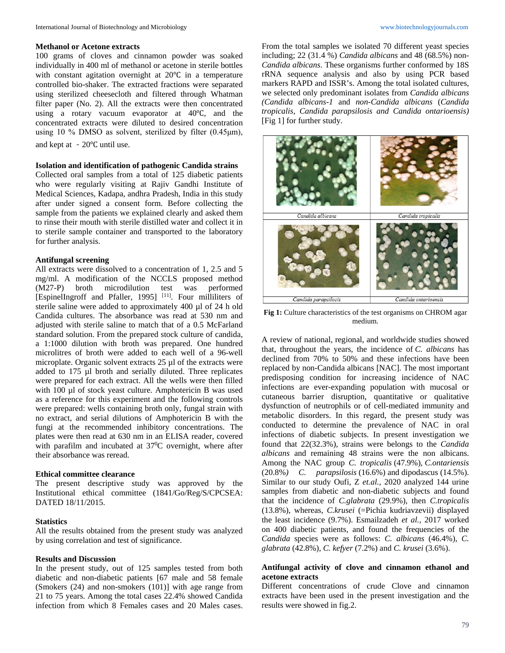### **Methanol or Acetone extracts**

100 grams of cloves and cinnamon powder was soaked individually in 400 ml of methanol or acetone in sterile bottles with constant agitation overnight at 20℃ in a temperature controlled bio-shaker. The extracted fractions were separated using sterilized cheesecloth and filtered through Whatman filter paper (No. 2). All the extracts were then concentrated using a rotary vacuum evaporator at 40℃, and the concentrated extracts were diluted to desired concentration using 10 % DMSO as solvent, sterilized by filter (0.45μm), and kept at -20℃ until use.

#### **Isolation and identification of pathogenic Candida strains**

Collected oral samples from a total of 125 diabetic patients who were regularly visiting at Rajiv Gandhi Institute of Medical Sciences, Kadapa, andhra Pradesh, India in this study after under signed a consent form. Before collecting the sample from the patients we explained clearly and asked them to rinse their mouth with sterile distilled water and collect it in to sterile sample container and transported to the laboratory for further analysis.

### **Antifungal screening**

All extracts were dissolved to a concentration of 1, 2.5 and 5 mg/ml. A modification of the NCCLS proposed method (M27-P) broth microdilution test was performed [EspinelIngroff and Pfaller, 1995]<sup>[11]</sup>. Four milliliters of sterile saline were added to approximately 400 µl of 24 h old Candida cultures. The absorbance was read at 530 nm and adjusted with sterile saline to match that of a 0.5 McFarland standard solution. From the prepared stock culture of candida, a 1:1000 dilution with broth was prepared. One hundred microlitres of broth were added to each well of a 96-well microplate. Organic solvent extracts 25 µl of the extracts were added to 175 µl broth and serially diluted. Three replicates were prepared for each extract. All the wells were then filled with 100 µl of stock yeast culture. Amphotericin B was used as a reference for this experiment and the following controls were prepared: wells containing broth only, fungal strain with no extract, and serial dilutions of Amphotericin B with the fungi at the recommended inhibitory concentrations. The plates were then read at 630 nm in an ELISA reader, covered with parafilm and incubated at 37<sup>o</sup>C overnight, where after their absorbance was reread.

#### **Ethical committee clearance**

The present descriptive study was approved by the Institutional ethical committee (1841/Go/Reg/S/CPCSEA: DATED 18/11/2015.

### **Statistics**

All the results obtained from the present study was analyzed by using correlation and test of significance.

### **Results and Discussion**

In the present study, out of 125 samples tested from both diabetic and non-diabetic patients [67 male and 58 female (Smokers (24) and non-smokers (101)] with age range from 21 to 75 years. Among the total cases 22.4% showed Candida infection from which 8 Females cases and 20 Males cases.

From the total samples we isolated 70 different yeast species including; 22 (31.4 %) *Candida albicans* and 48 (68.5%) non-*Candida albicans*. These organisms further conformed by 18S rRNA sequence analysis and also by using PCR based markers RAPD and ISSR's. Among the total isolated cultures, we selected only predominant isolates from *Candida albicans (Candida albicans-1* and *non-Candida albicans* (*Candida tropicalis, Candida parapsilosis and Candida ontarioensis)*  [Fig 1] for further study.



**Fig 1:** Culture characteristics of the test organisms on CHROM agar medium.

A review of national, regional, and worldwide studies showed that, throughout the years, the incidence of *C. albicans* has declined from 70% to 50% and these infections have been replaced by non-Candida albicans [NAC]. The most important predisposing condition for increasing incidence of NAC infections are ever-expanding population with mucosal or cutaneous barrier disruption, quantitative or qualitative dysfunction of neutrophils or of cell-mediated immunity and metabolic disorders. In this regard, the present study was conducted to determine the prevalence of NAC in oral infections of diabetic subjects. In present investigation we found that 22(32.3%), strains were belongs to the *Candida albicans* and remaining 48 strains were the non albicans. Among the NAC group *C. tropicalis* (47.9%), *C.ontariensis*  (20.8%*) C. parapsilosis* (16.6%) and dipodascus (14.5%). Similar to our study Oufi, Z *et.al.,* 2020 analyzed 144 urine samples from diabetic and non-diabetic subjects and found that the incidence of *C.glabrata* (29.9%), then *C.tropicalis* (13.8%), whereas, *C.krusei* (=Pichia kudriavzevii) displayed the least incidence (9.7%). Esmailzadeh *et al.,* 2017 worked on 400 diabetic patients, and found the frequencies of the *Candida* species were as follows: *C. albicans* (46.4%), *C. glabrata* (42.8%), *C. kefyer* (7.2%) and *C. krusei* (3.6%).

# **Antifungal activity of clove and cinnamon ethanol and acetone extracts**

Different concentrations of crude Clove and cinnamon extracts have been used in the present investigation and the results were showed in fig.2.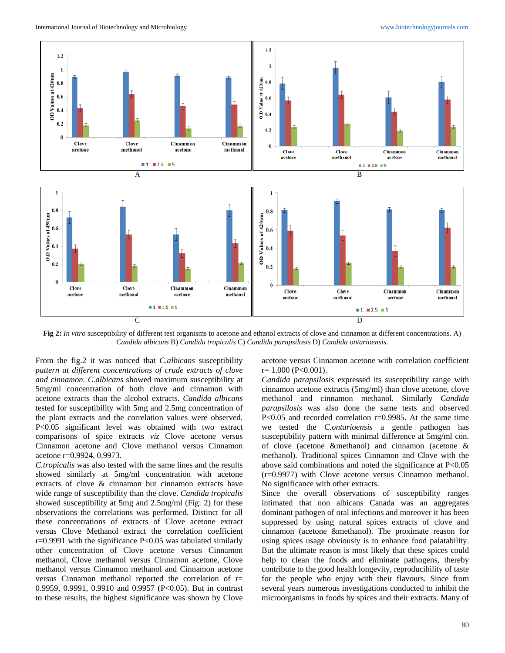

**Fig 2:** *In vitro* susceptibility of different test organisms to acetone and ethanol extracts of clove and cinnamon at different concentrations. A) *Candida albicans* B) *Candida tropicalis* C) *Candida parapsilosis* D) *Candida ontarioensis*.

From the fig.2 it was noticed that *C.albicans* susceptibility *pattern at different concentrations of crude extracts of clove and cinnamon. C.albicans* showed maximum susceptibility at 5mg/ml concentration of both clove and cinnamon with acetone extracts than the alcohol extracts. *Candida albicans* tested for susceptibility with 5mg and 2.5mg concentration of the plant extracts and the correlation values were observed. P<0.05 significant level was obtained with two extract comparisons of spice extracts *viz* Clove acetone versus Cinnamon acetone and Clove methanol versus Cinnamon acetone r=0.9924, 0.9973.

*C.tropicalis* was also tested with the same lines and the results showed similarly at 5mg/ml concentration with acetone extracts of clove & cinnamon but cinnamon extracts have wide range of susceptibility than the clove. *Candida tropicalis*  showed susceptibility at 5mg and 2.5mg/ml (Fig: 2) for these observations the correlations was performed. Distinct for all these concentrations of extracts of Clove acetone extract versus Clove Methanol extract the correlation coefficient  $r=0.9991$  with the significance  $P<0.05$  was tabulated similarly other concentration of Clove acetone versus Cinnamon methanol, Clove methanol versus Cinnamon acetone, Clove methanol versus Cinnamon methanol and Cinnamon acetone versus Cinnamon methanol reported the correlation of r= 0.9959, 0.9991, 0.9910 and 0.9957 (P<0.05). But in contrast to these results, the highest significance was shown by Clove

acetone versus Cinnamon acetone with correlation coefficient  $r= 1.000$  (P<0.001).

*Candida parapsilosis* expressed its susceptibility range with cinnamon acetone extracts (5mg/ml) than clove acetone, clove methanol and cinnamon methanol. Similarly *Candida parapsilosis* was also done the same tests and observed P<0.05 and recorded correlation r=0.9985. At the same time we tested the *C.ontarioensis* a gentle pathogen has susceptibility pattern with minimal difference at 5mg/ml con. of clove (acetone &methanol) and cinnamon (acetone & methanol). Traditional spices Cinnamon and Clove with the above said combinations and noted the significance at  $P<0.05$ (r=0.9977) with Clove acetone versus Cinnamon methanol. No significance with other extracts.

Since the overall observations of susceptibility ranges intimated that non albicans Canada was an aggregates dominant pathogen of oral infections and moreover it has been suppressed by using natural spices extracts of clove and cinnamon (acetone &methanol). The proximate reason for using spices usage obviously is to enhance food palatability. But the ultimate reason is most likely that these spices could help to clean the foods and eliminate pathogens, thereby contribute to the good health longevity, reproducibility of taste for the people who enjoy with their flavours. Since from several years numerous investigations conducted to inhibit the microorganisms in foods by spices and their extracts. Many of